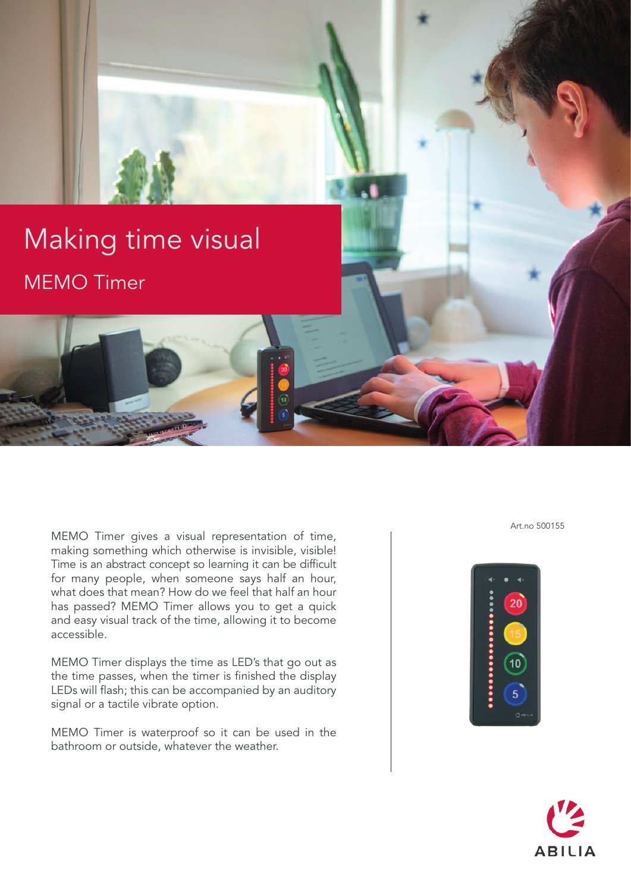# Making time visual MEMO Timer

MEMO Timer gives a visual representation of time, making something which otherwise is invisible, visible! Time is an abstract concept so learning it can be difficult for many people, when someone says half an hour, what does that mean? How do we feel that half an hour has passed? MEMO Timer allows you to get a quick and easy visual track of the time, allowing it to become accessible.

MEMO Timer displays the time as LED's that go out as the time passes, when the timer is finished the display LEDs will flash; this can be accompanied by an auditory signal or a tactile vibrate option.

MEMO Timer is waterproof so it can be used in the bathroom or outside, whatever the weather.

Art.no 500155